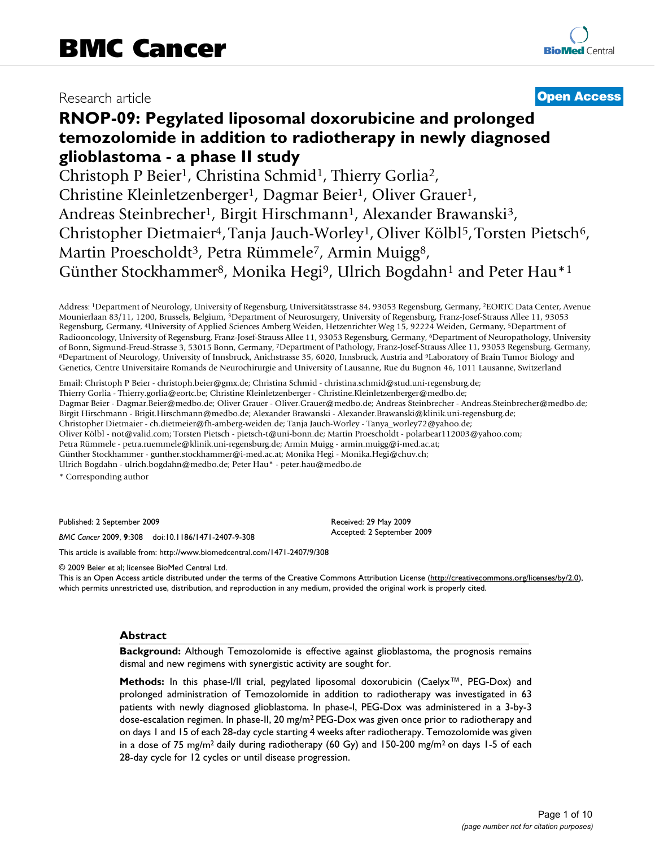# Research article **[Open Access](http://www.biomedcentral.com/info/about/charter/)**

# **RNOP-09: Pegylated liposomal doxorubicine and prolonged temozolomide in addition to radiotherapy in newly diagnosed glioblastoma - a phase II study**

Christoph P Beier1, Christina Schmid1, Thierry Gorlia2, Christine Kleinletzenberger<sup>1</sup>, Dagmar Beier<sup>1</sup>, Oliver Grauer<sup>1</sup>, Andreas Steinbrecher<sup>1</sup>, Birgit Hirschmann<sup>1</sup>, Alexander Brawanski<sup>3</sup>, Christopher Dietmaier<sup>4</sup>, Tanja Jauch-Worley<sup>1</sup>, Oliver Kölbl<sup>5</sup>, Torsten Pietsch<sup>6</sup>, Martin Proescholdt<sup>3</sup>, Petra Rümmele<sup>7</sup>, Armin Muigg<sup>8</sup>, Günther Stockhammer<sup>8</sup>, Monika Hegi<sup>9</sup>, Ulrich Bogdahn<sup>1</sup> and Peter Hau<sup>\*1</sup>

Address: 1Department of Neurology, University of Regensburg, Universitätsstrasse 84, 93053 Regensburg, Germany, 2EORTC Data Center, Avenue Mounierlaan 83/11, 1200, Brussels, Belgium, 3Department of Neurosurgery, University of Regensburg, Franz-Josef-Strauss Allee 11, 93053 Regensburg, Germany, 4University of Applied Sciences Amberg Weiden, Hetzenrichter Weg 15, 92224 Weiden, Germany, 5Department of Radiooncology, University of Regensburg, Franz-Josef-Strauss Allee 11, 93053 Regensburg, Germany, <sup>6</sup>Department of Neuropathology, University of Bonn, Sigmund-Freud-Strasse 3, 53015 Bonn, Germany, <sup>7</sup>Department of Patholog 8Department of Neurology, University of Innsbruck, Anichstrasse 35, 6020, Innsbruck, Austria and <sup>9</sup>Laboratory of Brain Tumor Biology and Genetics, Centre Universitaire Romands de Neurochirurgie and University of Lausanne, Rue du Bugnon 46, 1011 Lausanne, Switzerland

Email: Christoph P Beier - christoph.beier@gmx.de; Christina Schmid - christina.schmid@stud.uni-regensburg.de; Thierry Gorlia - Thierry.gorlia@eortc.be; Christine Kleinletzenberger - Christine.Kleinletzenberger@medbo.de; Dagmar Beier - Dagmar.Beier@medbo.de; Oliver Grauer - Oliver.Grauer@medbo.de; Andreas Steinbrecher - Andreas.Steinbrecher@medbo.de; Birgit Hirschmann - Brigit.Hirschmann@medbo.de; Alexander Brawanski - Alexander.Brawanski@klinik.uni-regensburg.de; Christopher Dietmaier - ch.dietmeier@fh-amberg-weiden.de; Tanja Jauch-Worley - Tanya\_worley72@yahoo.de; Oliver Kölbl - not@valid.com; Torsten Pietsch - pietsch-t@uni-bonn.de; Martin Proescholdt - polarbear112003@yahoo.com; Petra Rümmele - petra.ruemmele@klinik.uni-regensburg.de; Armin Muigg - armin.muigg@i-med.ac.at; Günther Stockhammer - gunther.stockhammer@i-med.ac.at; Monika Hegi - Monika.Hegi@chuv.ch; Ulrich Bogdahn - ulrich.bogdahn@medbo.de; Peter Hau\* - peter.hau@medbo.de

\* Corresponding author

Published: 2 September 2009

*BMC Cancer* 2009, **9**:308 doi:10.1186/1471-2407-9-308

[This article is available from: http://www.biomedcentral.com/1471-2407/9/308](http://www.biomedcentral.com/1471-2407/9/308)

© 2009 Beier et al; licensee BioMed Central Ltd.

This is an Open Access article distributed under the terms of the Creative Commons Attribution License [\(http://creativecommons.org/licenses/by/2.0\)](http://creativecommons.org/licenses/by/2.0), which permits unrestricted use, distribution, and reproduction in any medium, provided the original work is properly cited.

Received: 29 May 2009 Accepted: 2 September 2009

#### **Abstract**

**Background:** Although Temozolomide is effective against glioblastoma, the prognosis remains dismal and new regimens with synergistic activity are sought for.

**Methods:** In this phase-I/II trial, pegylated liposomal doxorubicin (Caelyx™, PEG-Dox) and prolonged administration of Temozolomide in addition to radiotherapy was investigated in 63 patients with newly diagnosed glioblastoma. In phase-I, PEG-Dox was administered in a 3-by-3 dose-escalation regimen. In phase-II, 20 mg/m<sup>2</sup> PEG-Dox was given once prior to radiotherapy and on days 1 and 15 of each 28-day cycle starting 4 weeks after radiotherapy. Temozolomide was given in a dose of 75 mg/m<sup>2</sup> daily during radiotherapy (60 Gy) and 150-200 mg/m<sup>2</sup> on days 1-5 of each 28-day cycle for 12 cycles or until disease progression.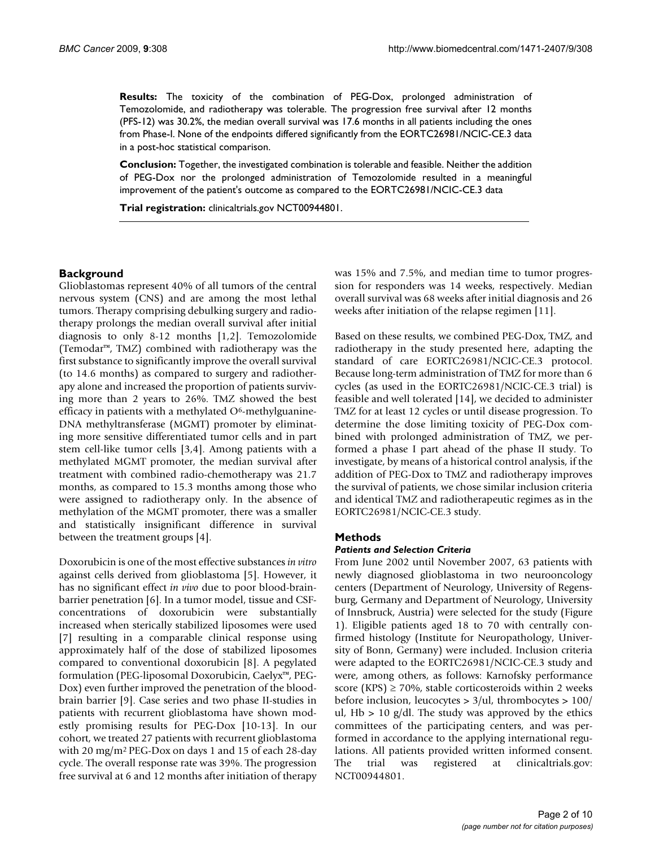**Results:** The toxicity of the combination of PEG-Dox, prolonged administration of Temozolomide, and radiotherapy was tolerable. The progression free survival after 12 months (PFS-12) was 30.2%, the median overall survival was 17.6 months in all patients including the ones from Phase-I. None of the endpoints differed significantly from the EORTC26981/NCIC-CE.3 data in a post-hoc statistical comparison.

**Conclusion:** Together, the investigated combination is tolerable and feasible. Neither the addition of PEG-Dox nor the prolonged administration of Temozolomide resulted in a meaningful improvement of the patient's outcome as compared to the EORTC26981/NCIC-CE.3 data

**Trial registration:** clinicaltrials.gov NCT00944801.

#### **Background**

Glioblastomas represent 40% of all tumors of the central nervous system (CNS) and are among the most lethal tumors. Therapy comprising debulking surgery and radiotherapy prolongs the median overall survival after initial diagnosis to only 8-12 months [1,2]. Temozolomide (Temodar™, TMZ) combined with radiotherapy was the first substance to significantly improve the overall survival (to 14.6 months) as compared to surgery and radiotherapy alone and increased the proportion of patients surviving more than 2 years to 26%. TMZ showed the best efficacy in patients with a methylated  $O<sup>6</sup>$ -methylguanine-DNA methyltransferase (MGMT) promoter by eliminating more sensitive differentiated tumor cells and in part stem cell-like tumor cells [3,4]. Among patients with a methylated MGMT promoter, the median survival after treatment with combined radio-chemotherapy was 21.7 months, as compared to 15.3 months among those who were assigned to radiotherapy only. In the absence of methylation of the MGMT promoter, there was a smaller and statistically insignificant difference in survival between the treatment groups [4].

Doxorubicin is one of the most effective substances *in vitro* against cells derived from glioblastoma [5]. However, it has no significant effect *in vivo* due to poor blood-brainbarrier penetration [6]. In a tumor model, tissue and CSFconcentrations of doxorubicin were substantially increased when sterically stabilized liposomes were used [7] resulting in a comparable clinical response using approximately half of the dose of stabilized liposomes compared to conventional doxorubicin [8]. A pegylated formulation (PEG-liposomal Doxorubicin, Caelyx™, PEG-Dox) even further improved the penetration of the bloodbrain barrier [9]. Case series and two phase II-studies in patients with recurrent glioblastoma have shown modestly promising results for PEG-Dox [10-13]. In our cohort, we treated 27 patients with recurrent glioblastoma with 20 mg/m2 PEG-Dox on days 1 and 15 of each 28-day cycle. The overall response rate was 39%. The progression free survival at 6 and 12 months after initiation of therapy

was 15% and 7.5%, and median time to tumor progression for responders was 14 weeks, respectively. Median overall survival was 68 weeks after initial diagnosis and 26 weeks after initiation of the relapse regimen [11].

Based on these results, we combined PEG-Dox, TMZ, and radiotherapy in the study presented here, adapting the standard of care EORTC26981/NCIC-CE.3 protocol. Because long-term administration of TMZ for more than 6 cycles (as used in the EORTC26981/NCIC-CE.3 trial) is feasible and well tolerated [14], we decided to administer TMZ for at least 12 cycles or until disease progression. To determine the dose limiting toxicity of PEG-Dox combined with prolonged administration of TMZ, we performed a phase I part ahead of the phase II study. To investigate, by means of a historical control analysis, if the addition of PEG-Dox to TMZ and radiotherapy improves the survival of patients, we chose similar inclusion criteria and identical TMZ and radiotherapeutic regimes as in the EORTC26981/NCIC-CE.3 study.

#### **Methods**

#### *Patients and Selection Criteria*

From June 2002 until November 2007, 63 patients with newly diagnosed glioblastoma in two neurooncology centers (Department of Neurology, University of Regensburg, Germany and Department of Neurology, University of Innsbruck, Austria) were selected for the study (Figure 1). Eligible patients aged 18 to 70 with centrally confirmed histology (Institute for Neuropathology, University of Bonn, Germany) were included. Inclusion criteria were adapted to the EORTC26981/NCIC-CE.3 study and were, among others, as follows: Karnofsky performance score (KPS)  $\geq$  70%, stable corticosteroids within 2 weeks before inclusion, leucocytes > 3/ul, thrombocytes > 100/ ul,  $Hb > 10$  g/dl. The study was approved by the ethics committees of the participating centers, and was performed in accordance to the applying international regulations. All patients provided written informed consent. The trial was registered at clinicaltrials.gov: NCT00944801.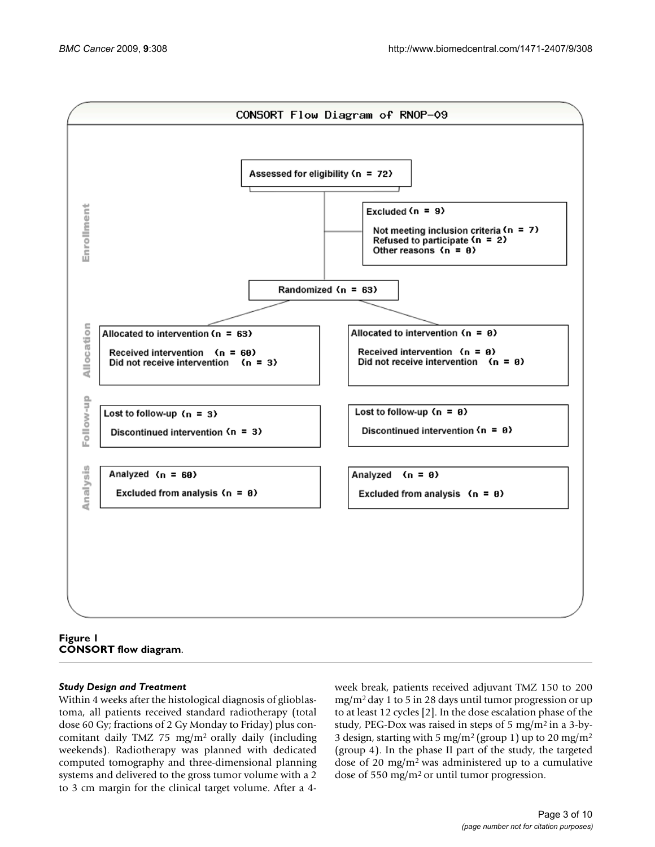

**Figure 1 CONSORT flow diagram**.

# *Study Design and Treatment*

Within 4 weeks after the histological diagnosis of glioblastoma, all patients received standard radiotherapy (total dose 60 Gy; fractions of 2 Gy Monday to Friday) plus concomitant daily TMZ 75 mg/m2 orally daily (including weekends). Radiotherapy was planned with dedicated computed tomography and three-dimensional planning systems and delivered to the gross tumor volume with a 2 to 3 cm margin for the clinical target volume. After a 4week break, patients received adjuvant TMZ 150 to 200 mg/m2 day 1 to 5 in 28 days until tumor progression or up to at least 12 cycles [2]. In the dose escalation phase of the study, PEG-Dox was raised in steps of 5 mg/m2 in a 3-by-3 design, starting with 5 mg/m<sup>2</sup> (group 1) up to 20 mg/m<sup>2</sup> (group 4). In the phase II part of the study, the targeted dose of 20 mg/m2 was administered up to a cumulative dose of 550 mg/m2 or until tumor progression.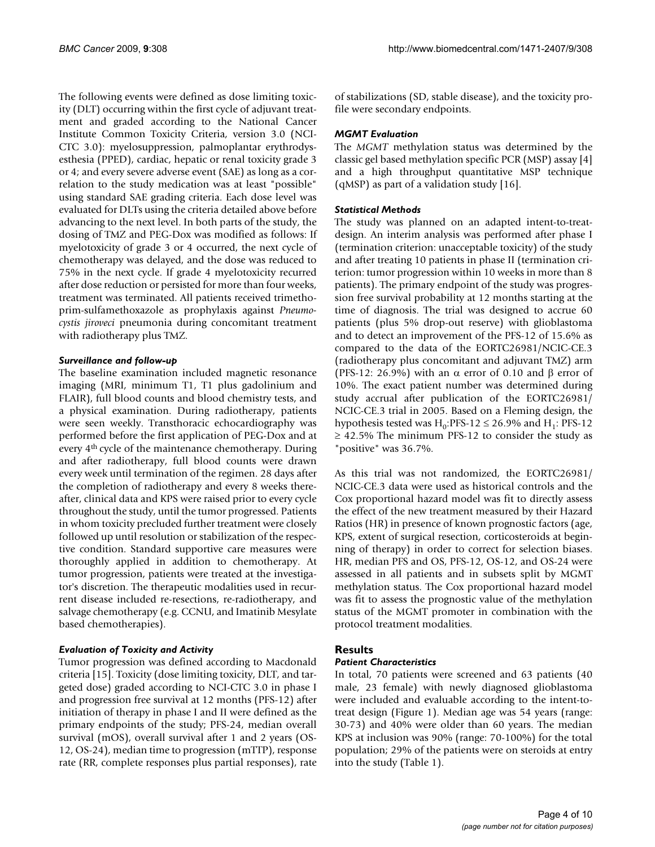The following events were defined as dose limiting toxicity (DLT) occurring within the first cycle of adjuvant treatment and graded according to the National Cancer Institute Common Toxicity Criteria, version 3.0 (NCI-CTC 3.0): myelosuppression, palmoplantar erythrodysesthesia (PPED), cardiac, hepatic or renal toxicity grade 3 or 4; and every severe adverse event (SAE) as long as a correlation to the study medication was at least "possible" using standard SAE grading criteria. Each dose level was evaluated for DLTs using the criteria detailed above before advancing to the next level. In both parts of the study, the dosing of TMZ and PEG-Dox was modified as follows: If myelotoxicity of grade 3 or 4 occurred, the next cycle of chemotherapy was delayed, and the dose was reduced to 75% in the next cycle. If grade 4 myelotoxicity recurred after dose reduction or persisted for more than four weeks, treatment was terminated. All patients received trimethoprim-sulfamethoxazole as prophylaxis against *Pneumocystis jiroveci* pneumonia during concomitant treatment with radiotherapy plus TMZ.

## *Surveillance and follow-up*

The baseline examination included magnetic resonance imaging (MRI, minimum T1, T1 plus gadolinium and FLAIR), full blood counts and blood chemistry tests, and a physical examination. During radiotherapy, patients were seen weekly. Transthoracic echocardiography was performed before the first application of PEG-Dox and at every 4th cycle of the maintenance chemotherapy. During and after radiotherapy, full blood counts were drawn every week until termination of the regimen. 28 days after the completion of radiotherapy and every 8 weeks thereafter, clinical data and KPS were raised prior to every cycle throughout the study, until the tumor progressed. Patients in whom toxicity precluded further treatment were closely followed up until resolution or stabilization of the respective condition. Standard supportive care measures were thoroughly applied in addition to chemotherapy. At tumor progression, patients were treated at the investigator's discretion. The therapeutic modalities used in recurrent disease included re-resections, re-radiotherapy, and salvage chemotherapy (e.g. CCNU, and Imatinib Mesylate based chemotherapies).

# *Evaluation of Toxicity and Activity*

Tumor progression was defined according to Macdonald criteria [15]. Toxicity (dose limiting toxicity, DLT, and targeted dose) graded according to NCI-CTC 3.0 in phase I and progression free survival at 12 months (PFS-12) after initiation of therapy in phase I and II were defined as the primary endpoints of the study; PFS-24, median overall survival (mOS), overall survival after 1 and 2 years (OS-12, OS-24), median time to progression (mTTP), response rate (RR, complete responses plus partial responses), rate of stabilizations (SD, stable disease), and the toxicity profile were secondary endpoints.

# *MGMT Evaluation*

The *MGMT* methylation status was determined by the classic gel based methylation specific PCR (MSP) assay [4] and a high throughput quantitative MSP technique (qMSP) as part of a validation study [16].

# *Statistical Methods*

The study was planned on an adapted intent-to-treatdesign. An interim analysis was performed after phase I (termination criterion: unacceptable toxicity) of the study and after treating 10 patients in phase II (termination criterion: tumor progression within 10 weeks in more than 8 patients). The primary endpoint of the study was progression free survival probability at 12 months starting at the time of diagnosis. The trial was designed to accrue 60 patients (plus 5% drop-out reserve) with glioblastoma and to detect an improvement of the PFS-12 of 15.6% as compared to the data of the EORTC26981/NCIC-CE.3 (radiotherapy plus concomitant and adjuvant TMZ) arm (PFS-12: 26.9%) with an  $\alpha$  error of 0.10 and  $\beta$  error of 10%. The exact patient number was determined during study accrual after publication of the EORTC26981/ NCIC-CE.3 trial in 2005. Based on a Fleming design, the hypothesis tested was  $H_0$ :PFS-12  $\leq$  26.9% and  $H_1$ : PFS-12  $\geq$  42.5% The minimum PFS-12 to consider the study as "positive" was 36.7%.

As this trial was not randomized, the EORTC26981/ NCIC-CE.3 data were used as historical controls and the Cox proportional hazard model was fit to directly assess the effect of the new treatment measured by their Hazard Ratios (HR) in presence of known prognostic factors (age, KPS, extent of surgical resection, corticosteroids at beginning of therapy) in order to correct for selection biases. HR, median PFS and OS, PFS-12, OS-12, and OS-24 were assessed in all patients and in subsets split by MGMT methylation status. The Cox proportional hazard model was fit to assess the prognostic value of the methylation status of the MGMT promoter in combination with the protocol treatment modalities.

# **Results**

#### *Patient Characteristics*

In total, 70 patients were screened and 63 patients (40 male, 23 female) with newly diagnosed glioblastoma were included and evaluable according to the intent-totreat design (Figure 1). Median age was 54 years (range: 30-73) and 40% were older than 60 years. The median KPS at inclusion was 90% (range: 70-100%) for the total population; 29% of the patients were on steroids at entry into the study (Table 1).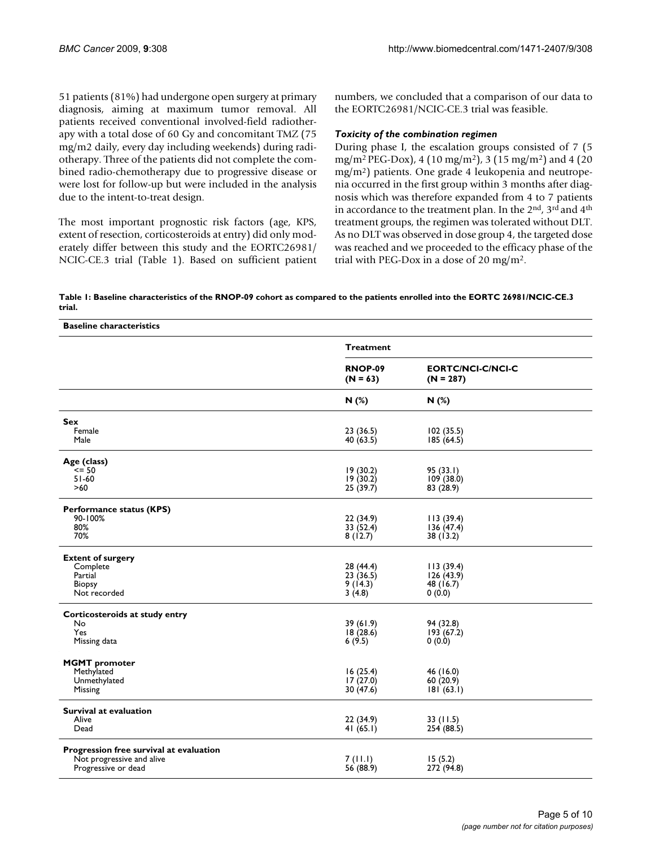51 patients (81%) had undergone open surgery at primary diagnosis, aiming at maximum tumor removal. All patients received conventional involved-field radiotherapy with a total dose of 60 Gy and concomitant TMZ (75 mg/m2 daily, every day including weekends) during radiotherapy. Three of the patients did not complete the combined radio-chemotherapy due to progressive disease or were lost for follow-up but were included in the analysis due to the intent-to-treat design.

The most important prognostic risk factors (age, KPS, extent of resection, corticosteroids at entry) did only moderately differ between this study and the EORTC26981/ NCIC-CE.3 trial (Table 1). Based on sufficient patient numbers, we concluded that a comparison of our data to the EORTC26981/NCIC-CE.3 trial was feasible.

#### *Toxicity of the combination regimen*

During phase I, the escalation groups consisted of 7 (5 mg/m2 PEG-Dox), 4 (10 mg/m2), 3 (15 mg/m2) and 4 (20 mg/m2) patients. One grade 4 leukopenia and neutropenia occurred in the first group within 3 months after diagnosis which was therefore expanded from 4 to 7 patients in accordance to the treatment plan. In the 2<sup>nd</sup>, 3<sup>rd</sup> and 4<sup>th</sup> treatment groups, the regimen was tolerated without DLT. As no DLT was observed in dose group 4, the targeted dose was reached and we proceeded to the efficacy phase of the trial with PEG-Dox in a dose of 20 mg/m2.

#### **Table 1: Baseline characteristics of the RNOP-09 cohort as compared to the patients enrolled into the EORTC 26981/NCIC-CE.3 trial.**

| <b>Baseline characteristics</b>         |                              |                                         |  |  |  |
|-----------------------------------------|------------------------------|-----------------------------------------|--|--|--|
|                                         | <b>Treatment</b>             |                                         |  |  |  |
|                                         | <b>RNOP-09</b><br>$(N = 63)$ | <b>EORTC/NCI-C/NCI-C</b><br>$(N = 287)$ |  |  |  |
|                                         | N(%)                         | N (%)                                   |  |  |  |
| <b>Sex</b>                              |                              |                                         |  |  |  |
| Female                                  | 23(36.5)                     | 102(35.5)                               |  |  |  |
| Male                                    | 40 $(63.5)$                  | 185(64.5)                               |  |  |  |
| Age (class)                             |                              |                                         |  |  |  |
| $= 50$                                  | 19(30.2)                     | 95(33.1)                                |  |  |  |
| $51-60$                                 | 19(30.2)                     | 109(38.0)                               |  |  |  |
| >60                                     | 25(39.7)                     | 83 (28.9)                               |  |  |  |
| Performance status (KPS)                |                              |                                         |  |  |  |
| 90-100%                                 | 22 (34.9)                    | 113(39.4)                               |  |  |  |
| 80%                                     | 33(52.4)                     | 136(47.4)                               |  |  |  |
| 70%                                     | 8(12.7)                      | 38 (13.2)                               |  |  |  |
| <b>Extent of surgery</b>                |                              |                                         |  |  |  |
| Complete                                | 28 (44.4)                    | 113(39.4)                               |  |  |  |
| Partial                                 | 23(36.5)                     | 126(43.9)                               |  |  |  |
| <b>Biopsy</b>                           | 9(14.3)                      | 48 (16.7)                               |  |  |  |
| Not recorded                            | 3(4.8)                       | 0(0.0)                                  |  |  |  |
| Corticosteroids at study entry          |                              |                                         |  |  |  |
| No                                      | 39(61.9)                     | 94 (32.8)                               |  |  |  |
| Yes                                     | 18(28.6)                     | 193(67.2)                               |  |  |  |
| Missing data                            | 6(9.5)                       | 0(0.0)                                  |  |  |  |
| <b>MGMT</b> promoter                    |                              |                                         |  |  |  |
| Methylated                              | 16(25.4)                     | 46 (16.0)                               |  |  |  |
| Unmethylated                            | 17(27.0)                     | 60(20.9)                                |  |  |  |
| Missing                                 | 30(47.6)                     | 81(63.1)                                |  |  |  |
| <b>Survival at evaluation</b>           |                              |                                         |  |  |  |
| Alive                                   | 22 (34.9)                    | 33(11.5)                                |  |  |  |
| Dead                                    | 41 $(65.1)$                  | 254 (88.5)                              |  |  |  |
| Progression free survival at evaluation |                              |                                         |  |  |  |
| Not progressive and alive               | 7(11.1)                      | 15(5.2)                                 |  |  |  |
| Progressive or dead                     | 56 (88.9)                    | 272 (94.8)                              |  |  |  |
|                                         |                              |                                         |  |  |  |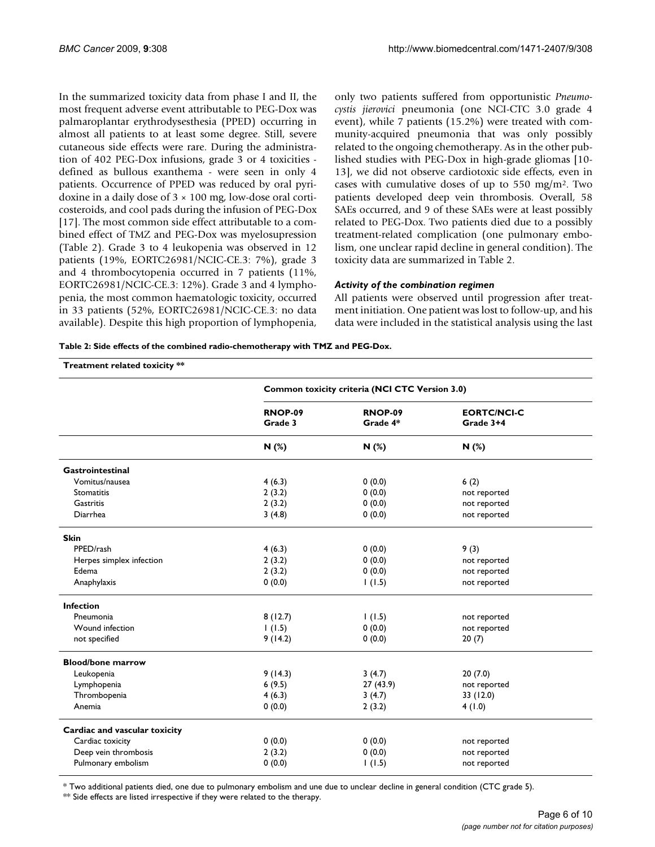In the summarized toxicity data from phase I and II, the most frequent adverse event attributable to PEG-Dox was palmaroplantar erythrodysesthesia (PPED) occurring in almost all patients to at least some degree. Still, severe cutaneous side effects were rare. During the administration of 402 PEG-Dox infusions, grade 3 or 4 toxicities defined as bullous exanthema - were seen in only 4 patients. Occurrence of PPED was reduced by oral pyridoxine in a daily dose of  $3 \times 100$  mg, low-dose oral corticosteroids, and cool pads during the infusion of PEG-Dox [17]. The most common side effect attributable to a combined effect of TMZ and PEG-Dox was myelosupression (Table 2). Grade 3 to 4 leukopenia was observed in 12 patients (19%, EORTC26981/NCIC-CE.3: 7%), grade 3 and 4 thrombocytopenia occurred in 7 patients (11%, EORTC26981/NCIC-CE.3: 12%). Grade 3 and 4 lymphopenia, the most common haematologic toxicity, occurred in 33 patients (52%, EORTC26981/NCIC-CE.3: no data available). Despite this high proportion of lymphopenia,

only two patients suffered from opportunistic *Pneumocystis jierovici* pneumonia (one NCI-CTC 3.0 grade 4 event), while 7 patients (15.2%) were treated with community-acquired pneumonia that was only possibly related to the ongoing chemotherapy. As in the other published studies with PEG-Dox in high-grade gliomas [10- 13], we did not observe cardiotoxic side effects, even in cases with cumulative doses of up to 550 mg/m2. Two patients developed deep vein thrombosis. Overall, 58 SAEs occurred, and 9 of these SAEs were at least possibly related to PEG-Dox. Two patients died due to a possibly treatment-related complication (one pulmonary embolism, one unclear rapid decline in general condition). The toxicity data are summarized in Table 2.

#### *Activity of the combination regimen*

All patients were observed until progression after treatment initiation. One patient was lost to follow-up, and his data were included in the statistical analysis using the last

**Table 2: Side effects of the combined radio-chemotherapy with TMZ and PEG-Dox.**

|                               | <b>Common toxicity criteria (NCI CTC Version 3.0)</b> |                            |                                 |
|-------------------------------|-------------------------------------------------------|----------------------------|---------------------------------|
|                               | <b>RNOP-09</b><br>Grade 3                             | <b>RNOP-09</b><br>Grade 4* | <b>EORTC/NCI-C</b><br>Grade 3+4 |
|                               | N(%)                                                  | N(%)                       | N(%)                            |
| <b>Gastrointestinal</b>       |                                                       |                            |                                 |
| Vomitus/nausea                | 4(6.3)                                                | 0(0.0)                     | 6(2)                            |
| <b>Stomatitis</b>             | 2(3.2)                                                | 0(0.0)                     | not reported                    |
| Gastritis                     | 2(3.2)                                                | 0(0.0)                     | not reported                    |
| Diarrhea                      | 3(4.8)                                                | 0(0.0)                     | not reported                    |
| <b>Skin</b>                   |                                                       |                            |                                 |
| PPED/rash                     | 4(6.3)                                                | 0(0.0)                     | 9(3)                            |
| Herpes simplex infection      | 2(3.2)                                                | 0(0.0)                     | not reported                    |
| Edema                         | 2(3.2)                                                | 0(0.0)                     | not reported                    |
| Anaphylaxis                   | 0(0.0)                                                | 1(1.5)                     | not reported                    |
| <b>Infection</b>              |                                                       |                            |                                 |
| Pneumonia                     | 8(12.7)                                               | 1(1.5)                     | not reported                    |
| Wound infection               | 1(1.5)                                                | 0(0.0)                     | not reported                    |
| not specified                 | 9(14.2)                                               | 0(0.0)                     | 20(7)                           |
| <b>Blood/bone marrow</b>      |                                                       |                            |                                 |
| Leukopenia                    | 9(14.3)                                               | 3(4.7)                     | 20(7.0)                         |
| Lymphopenia                   | 6(9.5)                                                | 27 (43.9)                  | not reported                    |
| Thrombopenia                  | 4(6.3)                                                | 3(4.7)                     | 33 (12.0)                       |
| Anemia                        | 0(0.0)                                                | 2(3.2)                     | 4(1.0)                          |
| Cardiac and vascular toxicity |                                                       |                            |                                 |
| Cardiac toxicity              | 0(0.0)                                                | 0(0.0)                     | not reported                    |
| Deep vein thrombosis          | 2(3.2)                                                | 0(0.0)                     | not reported                    |
| Pulmonary embolism            | 0(0.0)                                                | 1(1.5)                     | not reported                    |

\* Two additional patients died, one due to pulmonary embolism and une due to unclear decline in general condition (CTC grade 5).

\*\* Side effects are listed irrespective if they were related to the therapy.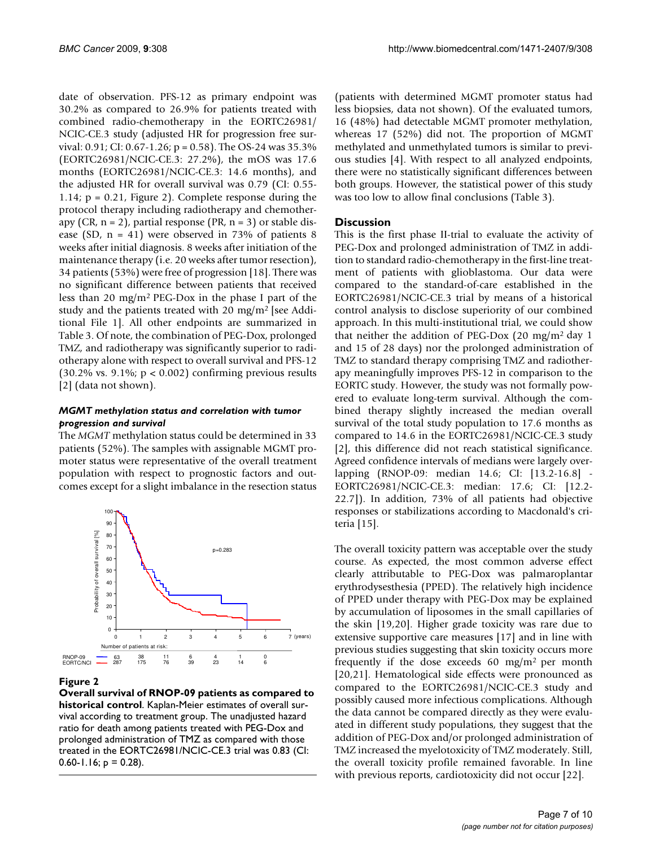date of observation. PFS-12 as primary endpoint was 30.2% as compared to 26.9% for patients treated with combined radio-chemotherapy in the EORTC26981/ NCIC-CE.3 study (adjusted HR for progression free survival: 0.91; CI: 0.67-1.26; p = 0.58). The OS-24 was 35.3% (EORTC26981/NCIC-CE.3: 27.2%), the mOS was 17.6 months (EORTC26981/NCIC-CE.3: 14.6 months), and the adjusted HR for overall survival was 0.79 (CI: 0.55- 1.14; p = 0.21, Figure 2). Complete response during the protocol therapy including radiotherapy and chemotherapy (CR,  $n = 2$ ), partial response (PR,  $n = 3$ ) or stable disease (SD,  $n = 41$ ) were observed in 73% of patients 8 weeks after initial diagnosis. 8 weeks after initiation of the maintenance therapy (i.e. 20 weeks after tumor resection), 34 patients (53%) were free of progression [18]. There was no significant difference between patients that received less than 20 mg/m2 PEG-Dox in the phase I part of the study and the patients treated with 20 mg/m2 [see Additional File 1]. All other endpoints are summarized in Table 3. Of note, the combination of PEG-Dox, prolonged TMZ, and radiotherapy was significantly superior to radiotherapy alone with respect to overall survival and PFS-12  $(30.2\% \text{ vs. } 9.1\%; \text{ p} < 0.002)$  confirming previous results [2] (data not shown).

## *MGMT methylation status and correlation with tumor progression and survival*

The *MGMT* methylation status could be determined in 33 patients (52%). The samples with assignable MGMT promoter status were representative of the overall treatment population with respect to prognostic factors and outcomes except for a slight imbalance in the resection status



#### Figure 2

**Overall survival of RNOP-09 patients as compared to historical control**. Kaplan-Meier estimates of overall survival according to treatment group. The unadjusted hazard ratio for death among patients treated with PEG-Dox and prolonged administration of TMZ as compared with those treated in the EORTC26981/NCIC-CE.3 trial was 0.83 (CI:

(patients with determined MGMT promoter status had less biopsies, data not shown). Of the evaluated tumors, 16 (48%) had detectable MGMT promoter methylation, whereas 17 (52%) did not. The proportion of MGMT methylated and unmethylated tumors is similar to previous studies [4]. With respect to all analyzed endpoints, there were no statistically significant differences between both groups. However, the statistical power of this study was too low to allow final conclusions (Table 3).

# **Discussion**

This is the first phase II-trial to evaluate the activity of PEG-Dox and prolonged administration of TMZ in addition to standard radio-chemotherapy in the first-line treatment of patients with glioblastoma. Our data were compared to the standard-of-care established in the EORTC26981/NCIC-CE.3 trial by means of a historical control analysis to disclose superiority of our combined approach. In this multi-institutional trial, we could show that neither the addition of PEG-Dox (20 mg/m2 day 1 and 15 of 28 days) nor the prolonged administration of TMZ to standard therapy comprising TMZ and radiotherapy meaningfully improves PFS-12 in comparison to the EORTC study. However, the study was not formally powered to evaluate long-term survival. Although the combined therapy slightly increased the median overall survival of the total study population to 17.6 months as compared to 14.6 in the EORTC26981/NCIC-CE.3 study [2], this difference did not reach statistical significance. Agreed confidence intervals of medians were largely overlapping (RNOP-09: median 14.6; CI: [13.2-16.8] - EORTC26981/NCIC-CE.3: median: 17.6; CI: [12.2- 22.7]). In addition, 73% of all patients had objective responses or stabilizations according to Macdonald's criteria [15].

The overall toxicity pattern was acceptable over the study course. As expected, the most common adverse effect clearly attributable to PEG-Dox was palmaroplantar erythrodysesthesia (PPED). The relatively high incidence of PPED under therapy with PEG-Dox may be explained by accumulation of liposomes in the small capillaries of the skin [19,20]. Higher grade toxicity was rare due to extensive supportive care measures [17] and in line with previous studies suggesting that skin toxicity occurs more frequently if the dose exceeds 60 mg/m2 per month [20,21]. Hematological side effects were pronounced as compared to the EORTC26981/NCIC-CE.3 study and possibly caused more infectious complications. Although the data cannot be compared directly as they were evaluated in different study populations, they suggest that the addition of PEG-Dox and/or prolonged administration of TMZ increased the myelotoxicity of TMZ moderately. Still, the overall toxicity profile remained favorable. In line with previous reports, cardiotoxicity did not occur [22].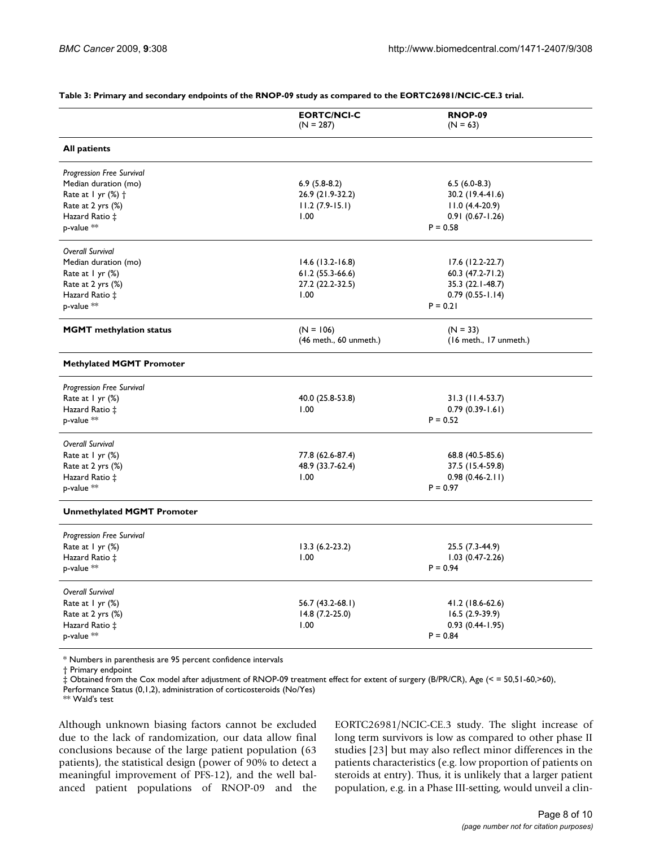|                                   | <b>EORTC/NCI-C</b><br>$(N = 287)$ | <b>RNOP-09</b><br>$(N = 63)$ |  |
|-----------------------------------|-----------------------------------|------------------------------|--|
| <b>All patients</b>               |                                   |                              |  |
| <b>Progression Free Survival</b>  |                                   |                              |  |
| Median duration (mo)              | $6.9(5.8-8.2)$                    | $6.5(6.0-8.3)$               |  |
| Rate at 1 yr $(\%)$ +             | 26.9 (21.9-32.2)                  | 30.2 (19.4-41.6)             |  |
| Rate at 2 yrs (%)                 | $11.2(7.9-15.1)$                  | $11.0(4.4-20.9)$             |  |
| Hazard Ratio ‡                    | 1.00                              | $0.91(0.67-1.26)$            |  |
| p-value **                        | $P = 0.58$                        |                              |  |
| Overall Survival                  |                                   |                              |  |
| Median duration (mo)              | $14.6$ (13.2-16.8)                | $17.6$ (12.2-22.7)           |  |
| Rate at $\vert$ yr $(\%)$         | $61.2(55.3-66.6)$                 | $60.3(47.2 - 71.2)$          |  |
| Rate at 2 yrs (%)                 | 27.2 (22.2-32.5)                  | 35.3 (22.1-48.7)             |  |
| Hazard Ratio ‡                    | 1.00                              | $0.79(0.55 - 1.14)$          |  |
| p-value **                        | $P = 0.21$                        |                              |  |
| <b>MGMT</b> methylation status    | $(N = 106)$                       | $(N = 33)$                   |  |
|                                   | (46 meth., 60 unmeth.)            | (16 meth., 17 unmeth.)       |  |
| <b>Methylated MGMT Promoter</b>   |                                   |                              |  |
| <b>Progression Free Survival</b>  |                                   |                              |  |
| Rate at 1 yr (%)                  | 40.0 (25.8-53.8)                  | $31.3$ (11.4-53.7)           |  |
| Hazard Ratio ‡                    | 1.00                              | $0.79(0.39-1.61)$            |  |
| $p$ -value $**$                   | $P = 0.52$                        |                              |  |
| Overall Survival                  |                                   |                              |  |
| Rate at 1 yr (%)                  | 77.8 (62.6-87.4)                  | 68.8 (40.5-85.6)             |  |
| Rate at 2 yrs (%)                 | 48.9 (33.7-62.4)                  | 37.5 (15.4-59.8)             |  |
| Hazard Ratio ‡                    | 1.00                              | $0.98(0.46-2.11)$            |  |
| p-value <sup>**</sup>             | $P = 0.97$                        |                              |  |
| <b>Unmethylated MGMT Promoter</b> |                                   |                              |  |
| <b>Progression Free Survival</b>  |                                   |                              |  |
| Rate at 1 yr (%)                  | $13.3(6.2-23.2)$                  | 25.5 (7.3-44.9)              |  |
| Hazard Ratio ‡                    | 1.00                              | $1.03(0.47-2.26)$            |  |
| $p$ -value $**$                   |                                   | $P = 0.94$                   |  |
| Overall Survival                  |                                   |                              |  |
| Rate at 1 yr (%)                  | 56.7 (43.2-68.1)                  | 41.2 (18.6-62.6)             |  |
| Rate at 2 yrs (%)                 | $14.8(7.2-25.0)$                  | $16.5(2.9-39.9)$             |  |
| Hazard Ratio ‡                    | 1.00                              | $0.93(0.44 - 1.95)$          |  |
| p-value <sup>**</sup>             |                                   | $P = 0.84$                   |  |

#### **Table 3: Primary and secondary endpoints of the RNOP-09 study as compared to the EORTC26981/NCIC-CE.3 trial.**

\* Numbers in parenthesis are 95 percent confidence intervals

† Primary endpoint

‡ Obtained from the Cox model after adjustment of RNOP-09 treatment effect for extent of surgery (B/PR/CR), Age (< = 50,51-60,>60),

Performance Status (0,1,2), administration of corticosteroids (No/Yes)

\*\* Wald's test

Although unknown biasing factors cannot be excluded due to the lack of randomization, our data allow final conclusions because of the large patient population (63 patients), the statistical design (power of 90% to detect a meaningful improvement of PFS-12), and the well balanced patient populations of RNOP-09 and the EORTC26981/NCIC-CE.3 study. The slight increase of long term survivors is low as compared to other phase II studies [23] but may also reflect minor differences in the patients characteristics (e.g. low proportion of patients on steroids at entry). Thus, it is unlikely that a larger patient population, e.g. in a Phase III-setting, would unveil a clin-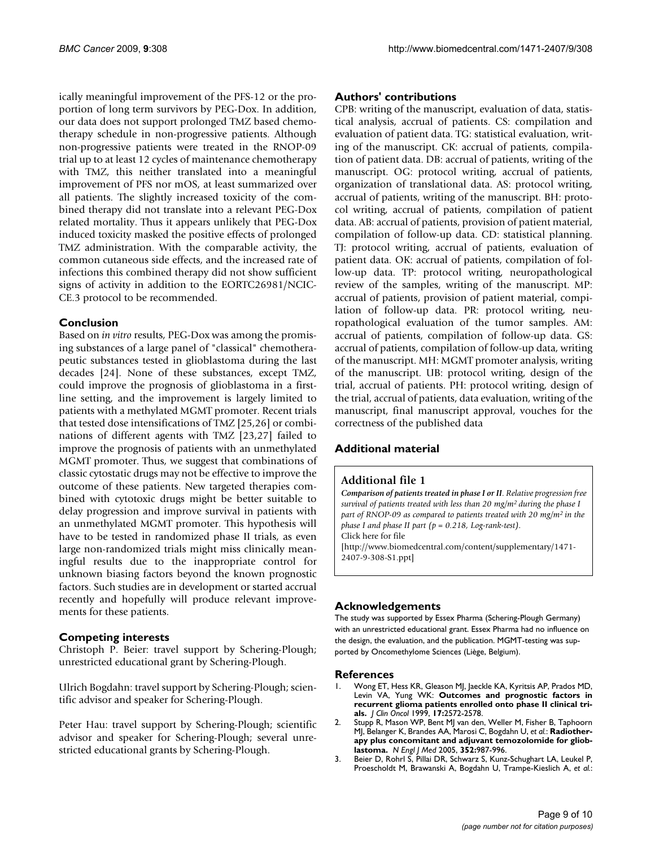ically meaningful improvement of the PFS-12 or the proportion of long term survivors by PEG-Dox. In addition, our data does not support prolonged TMZ based chemotherapy schedule in non-progressive patients. Although non-progressive patients were treated in the RNOP-09 trial up to at least 12 cycles of maintenance chemotherapy with TMZ, this neither translated into a meaningful improvement of PFS nor mOS, at least summarized over all patients. The slightly increased toxicity of the combined therapy did not translate into a relevant PEG-Dox related mortality. Thus it appears unlikely that PEG-Dox induced toxicity masked the positive effects of prolonged TMZ administration. With the comparable activity, the common cutaneous side effects, and the increased rate of infections this combined therapy did not show sufficient signs of activity in addition to the EORTC26981/NCIC-CE.3 protocol to be recommended.

# **Conclusion**

Based on *in vitro* results, PEG-Dox was among the promising substances of a large panel of "classical" chemotherapeutic substances tested in glioblastoma during the last decades [24]. None of these substances, except TMZ, could improve the prognosis of glioblastoma in a firstline setting, and the improvement is largely limited to patients with a methylated MGMT promoter. Recent trials that tested dose intensifications of TMZ [25,26] or combinations of different agents with TMZ [23,27] failed to improve the prognosis of patients with an unmethylated MGMT promoter. Thus, we suggest that combinations of classic cytostatic drugs may not be effective to improve the outcome of these patients. New targeted therapies combined with cytotoxic drugs might be better suitable to delay progression and improve survival in patients with an unmethylated MGMT promoter. This hypothesis will have to be tested in randomized phase II trials, as even large non-randomized trials might miss clinically meaningful results due to the inappropriate control for unknown biasing factors beyond the known prognostic factors. Such studies are in development or started accrual recently and hopefully will produce relevant improvements for these patients.

# **Competing interests**

Christoph P. Beier: travel support by Schering-Plough; unrestricted educational grant by Schering-Plough.

Ulrich Bogdahn: travel support by Schering-Plough; scientific advisor and speaker for Schering-Plough.

Peter Hau: travel support by Schering-Plough; scientific advisor and speaker for Schering-Plough; several unrestricted educational grants by Schering-Plough.

# **Authors' contributions**

CPB: writing of the manuscript, evaluation of data, statistical analysis, accrual of patients. CS: compilation and evaluation of patient data. TG: statistical evaluation, writing of the manuscript. CK: accrual of patients, compilation of patient data. DB: accrual of patients, writing of the manuscript. OG: protocol writing, accrual of patients, organization of translational data. AS: protocol writing, accrual of patients, writing of the manuscript. BH: protocol writing, accrual of patients, compilation of patient data. AB: accrual of patients, provision of patient material, compilation of follow-up data. CD: statistical planning. TJ: protocol writing, accrual of patients, evaluation of patient data. OK: accrual of patients, compilation of follow-up data. TP: protocol writing, neuropathological review of the samples, writing of the manuscript. MP: accrual of patients, provision of patient material, compilation of follow-up data. PR: protocol writing, neuropathological evaluation of the tumor samples. AM: accrual of patients, compilation of follow-up data. GS: accrual of patients, compilation of follow-up data, writing of the manuscript. MH: MGMT promoter analysis, writing of the manuscript. UB: protocol writing, design of the trial, accrual of patients. PH: protocol writing, design of the trial, accrual of patients, data evaluation, writing of the manuscript, final manuscript approval, vouches for the correctness of the published data

# **Additional material**

# **Additional file 1**

*Comparison of patients treated in phase I or II. Relative progression free survival of patients treated with less than 20 mg/m2 during the phase I part of RNOP-09 as compared to patients treated with 20 mg/m2 in the phase I and phase II part (p = 0.218, Log-rank-test).* Click here for file [\[http://www.biomedcentral.com/content/supplementary/1471-](http://www.biomedcentral.com/content/supplementary/1471-2407-9-308-S1.ppt) 2407-9-308-S1.ppt]

# **Acknowledgements**

The study was supported by Essex Pharma (Schering-Plough Germany) with an unrestricted educational grant. Essex Pharma had no influence on the design, the evaluation, and the publication. MGMT-testing was supported by Oncomethylome Sciences (Liège, Belgium).

#### **References**

- 1. Wong ET, Hess KR, Gleason MJ, Jaeckle KA, Kyritsis AP, Prados MD, Levin VA, Yung WK: **[Outcomes and prognostic factors in](http://www.ncbi.nlm.nih.gov/entrez/query.fcgi?cmd=Retrieve&db=PubMed&dopt=Abstract&list_uids=10561324) [recurrent glioma patients enrolled onto phase II clinical tri](http://www.ncbi.nlm.nih.gov/entrez/query.fcgi?cmd=Retrieve&db=PubMed&dopt=Abstract&list_uids=10561324)[als.](http://www.ncbi.nlm.nih.gov/entrez/query.fcgi?cmd=Retrieve&db=PubMed&dopt=Abstract&list_uids=10561324)** *J Clin Oncol* 1999, **17:**2572-2578.
- 2. Stupp R, Mason WP, Bent MJ van den, Weller M, Fisher B, Taphoorn MJ, Belanger K, Brandes AA, Marosi C, Bogdahn U, *et al.*: **[Radiother](http://www.ncbi.nlm.nih.gov/entrez/query.fcgi?cmd=Retrieve&db=PubMed&dopt=Abstract&list_uids=15758009)[apy plus concomitant and adjuvant temozolomide for gliob](http://www.ncbi.nlm.nih.gov/entrez/query.fcgi?cmd=Retrieve&db=PubMed&dopt=Abstract&list_uids=15758009)[lastoma.](http://www.ncbi.nlm.nih.gov/entrez/query.fcgi?cmd=Retrieve&db=PubMed&dopt=Abstract&list_uids=15758009)** *N Engl J Med* 2005, **352:**987-996.
- 3. Beier D, Rohrl S, Pillai DR, Schwarz S, Kunz-Schughart LA, Leukel P, Proescholdt M, Brawanski A, Bogdahn U, Trampe-Kieslich A, *et al.*: